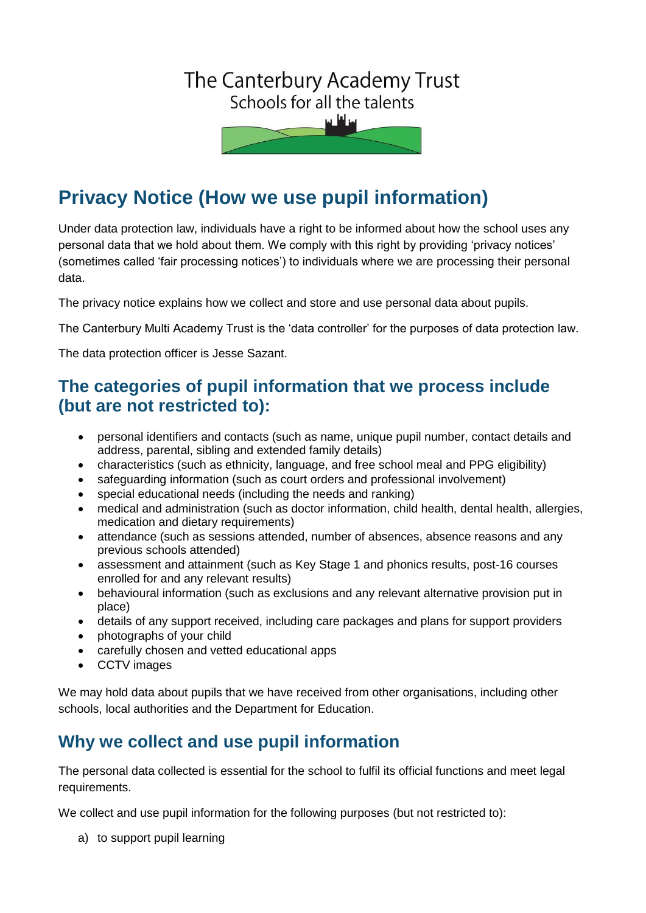# The Canterbury Academy Trust Schools for all the talents

## **Privacy Notice (How we use pupil information)**

Under data protection law, individuals have a right to be informed about how the school uses any personal data that we hold about them. We comply with this right by providing 'privacy notices' (sometimes called 'fair processing notices') to individuals where we are processing their personal data.

The privacy notice explains how we collect and store and use personal data about pupils.

The Canterbury Multi Academy Trust is the 'data controller' for the purposes of data protection law.

The data protection officer is Jesse Sazant.

## **The categories of pupil information that we process include (but are not restricted to):**

- personal identifiers and contacts (such as name, unique pupil number, contact details and address, parental, sibling and extended family details)
- characteristics (such as ethnicity, language, and free school meal and PPG eligibility)
- safeguarding information (such as court orders and professional involvement)
- special educational needs (including the needs and ranking)
- medical and administration (such as doctor information, child health, dental health, allergies, medication and dietary requirements)
- attendance (such as sessions attended, number of absences, absence reasons and any previous schools attended)
- assessment and attainment (such as Key Stage 1 and phonics results, post-16 courses enrolled for and any relevant results)
- behavioural information (such as exclusions and any relevant alternative provision put in place)
- details of any support received, including care packages and plans for support providers
- photographs of your child
- carefully chosen and vetted educational apps
- CCTV images

We may hold data about pupils that we have received from other organisations, including other schools, local authorities and the Department for Education.

## **Why we collect and use pupil information**

The personal data collected is essential for the school to fulfil its official functions and meet legal requirements.

We collect and use pupil information for the following purposes (but not restricted to):

a) to support pupil learning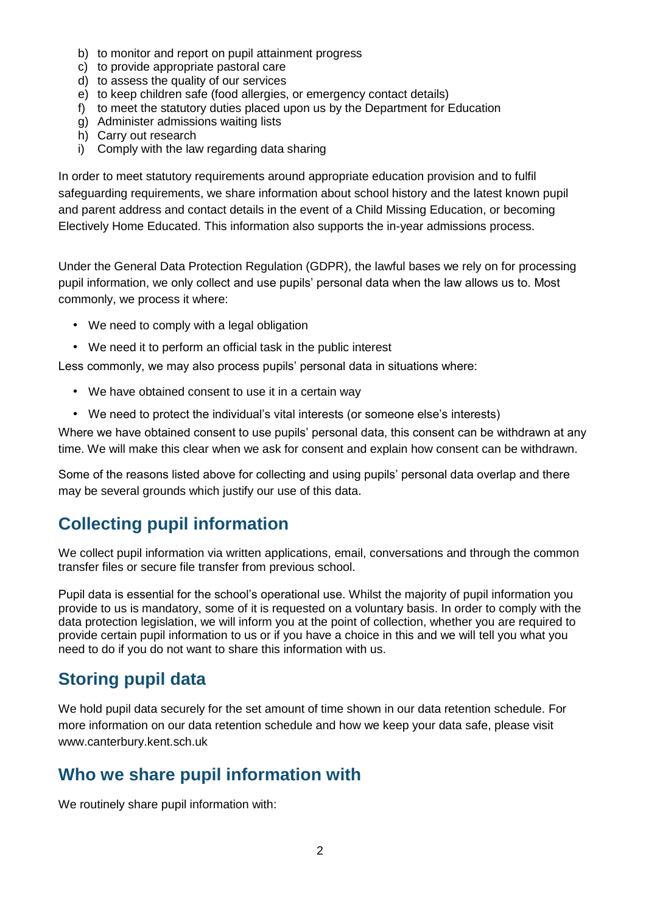- b) to monitor and report on pupil attainment progress
- c) to provide appropriate pastoral care
- d) to assess the quality of our services
- e) to keep children safe (food allergies, or emergency contact details)
- f) to meet the statutory duties placed upon us by the Department for Education
- g) Administer admissions waiting lists
- h) Carry out research
- i) Comply with the law regarding data sharing

In order to meet statutory requirements around appropriate education provision and to fulfil safeguarding requirements, we share information about school history and the latest known pupil and parent address and contact details in the event of a Child Missing Education, or becoming Electively Home Educated. This information also supports the in-year admissions process.

Under the General Data Protection Regulation (GDPR), the lawful bases we rely on for processing pupil information, we only collect and use pupils' personal data when the law allows us to. Most commonly, we process it where:

- We need to comply with a legal obligation
- We need it to perform an official task in the public interest

Less commonly, we may also process pupils' personal data in situations where:

- We have obtained consent to use it in a certain way
- We need to protect the individual's vital interests (or someone else's interests)

Where we have obtained consent to use pupils' personal data, this consent can be withdrawn at any time. We will make this clear when we ask for consent and explain how consent can be withdrawn.

Some of the reasons listed above for collecting and using pupils' personal data overlap and there may be several grounds which justify our use of this data.

## **Collecting pupil information**

We collect pupil information via written applications, email, conversations and through the common transfer files or secure file transfer from previous school.

Pupil data is essential for the school's operational use. Whilst the majority of pupil information you provide to us is mandatory, some of it is requested on a voluntary basis. In order to comply with the data protection legislation, we will inform you at the point of collection, whether you are required to provide certain pupil information to us or if you have a choice in this and we will tell you what you need to do if you do not want to share this information with us.

## **Storing pupil data**

We hold pupil data securely for the set amount of time shown in our data retention schedule. For more information on our data retention schedule and how we keep your data safe, please visit www.canterbury.kent.sch.uk

## **Who we share pupil information with**

We routinely share pupil information with: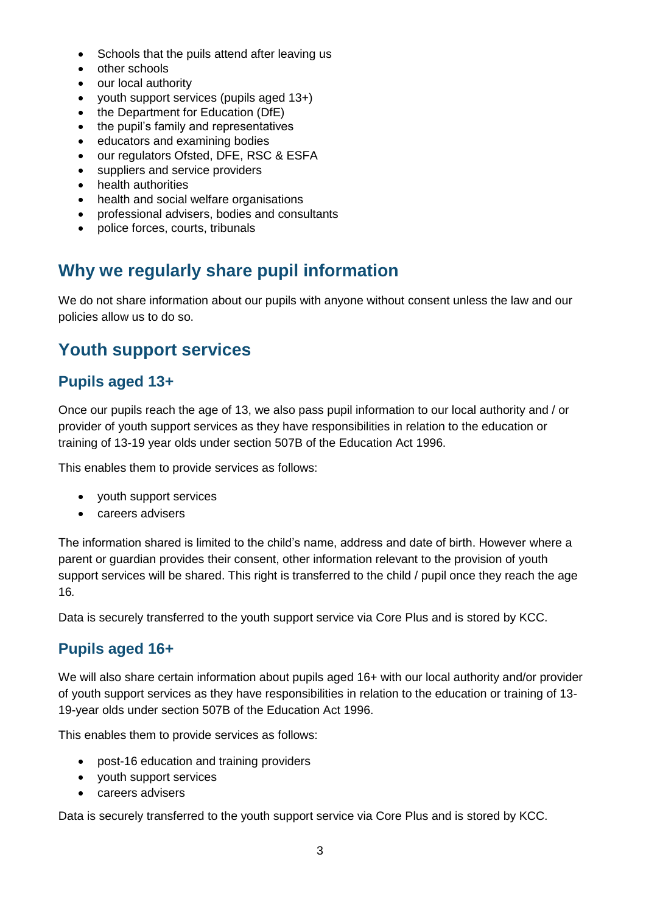- Schools that the puils attend after leaving us
- other schools
- our local authority
- youth support services (pupils aged 13+)
- the Department for Education (DfE)
- the pupil's family and representatives
- educators and examining bodies
- our regulators Ofsted, DFE, RSC & ESFA
- suppliers and service providers
- health authorities
- health and social welfare organisations
- professional advisers, bodies and consultants
- police forces, courts, tribunals

## **Why we regularly share pupil information**

We do not share information about our pupils with anyone without consent unless the law and our policies allow us to do so.

### **Youth support services**

#### **Pupils aged 13+**

Once our pupils reach the age of 13, we also pass pupil information to our local authority and / or provider of youth support services as they have responsibilities in relation to the education or training of 13-19 year olds under section 507B of the Education Act 1996.

This enables them to provide services as follows:

- youth support services
- careers advisers

The information shared is limited to the child's name, address and date of birth. However where a parent or guardian provides their consent, other information relevant to the provision of youth support services will be shared. This right is transferred to the child / pupil once they reach the age 16*.*

Data is securely transferred to the youth support service via Core Plus and is stored by KCC.

#### **Pupils aged 16+**

We will also share certain information about pupils aged 16+ with our local authority and/or provider of youth support services as they have responsibilities in relation to the education or training of 13- 19-year olds under section 507B of the Education Act 1996.

This enables them to provide services as follows:

- post-16 education and training providers
- youth support services
- careers advisers

Data is securely transferred to the youth support service via Core Plus and is stored by KCC.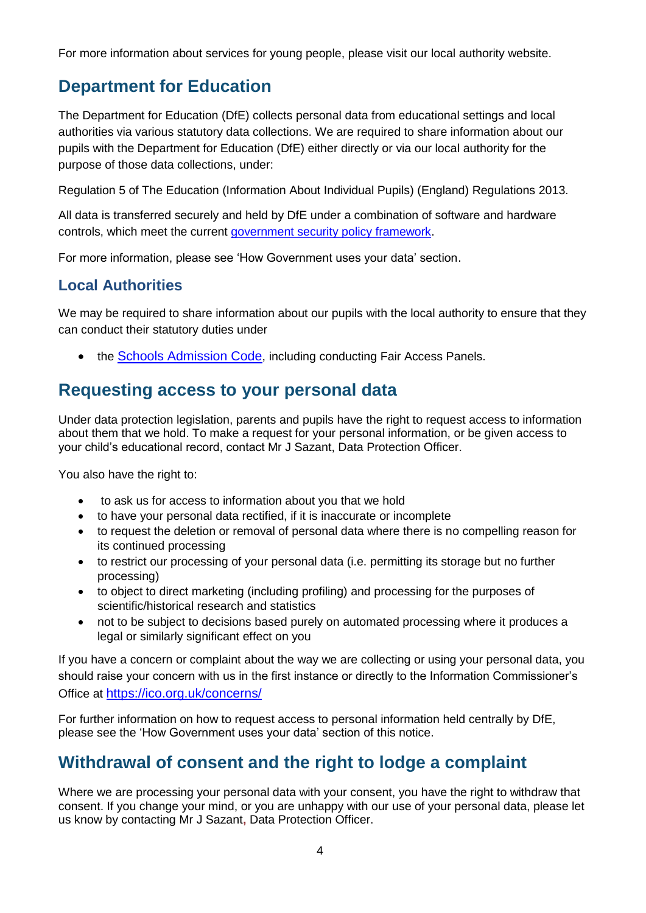For more information about services for young people, please visit our local authority website.

## **Department for Education**

The Department for Education (DfE) collects personal data from educational settings and local authorities via various statutory data collections. We are required to share information about our pupils with the Department for Education (DfE) either directly or via our local authority for the purpose of those data collections, under:

Regulation 5 of The Education (Information About Individual Pupils) (England) Regulations 2013.

All data is transferred securely and held by DfE under a combination of software and hardware controls, which meet the current [government security policy framework.](https://www.gov.uk/government/publications/security-policy-framework)

For more information, please see 'How Government uses your data' section.

#### **Local Authorities**

We may be required to share information about our pupils with the local authority to ensure that they can conduct their statutory duties under

• the [Schools Admission Code](https://www.gov.uk/government/publications/school-admissions-code--2), including conducting Fair Access Panels.

## **Requesting access to your personal data**

Under data protection legislation, parents and pupils have the right to request access to information about them that we hold. To make a request for your personal information, or be given access to your child's educational record, contact Mr J Sazant, Data Protection Officer.

You also have the right to:

- to ask us for access to information about you that we hold
- to have your personal data rectified, if it is inaccurate or incomplete
- to request the deletion or removal of personal data where there is no compelling reason for its continued processing
- to restrict our processing of your personal data (i.e. permitting its storage but no further processing)
- to object to direct marketing (including profiling) and processing for the purposes of scientific/historical research and statistics
- not to be subject to decisions based purely on automated processing where it produces a legal or similarly significant effect on you

If you have a concern or complaint about the way we are collecting or using your personal data, you should raise your concern with us in the first instance or directly to the Information Commissioner's Office at <https://ico.org.uk/concerns/>

For further information on how to request access to personal information held centrally by DfE, please see the 'How Government uses your data' section of this notice.

## **Withdrawal of consent and the right to lodge a complaint**

Where we are processing your personal data with your consent, you have the right to withdraw that consent. If you change your mind, or you are unhappy with our use of your personal data, please let us know by contacting Mr J Sazant**,** Data Protection Officer.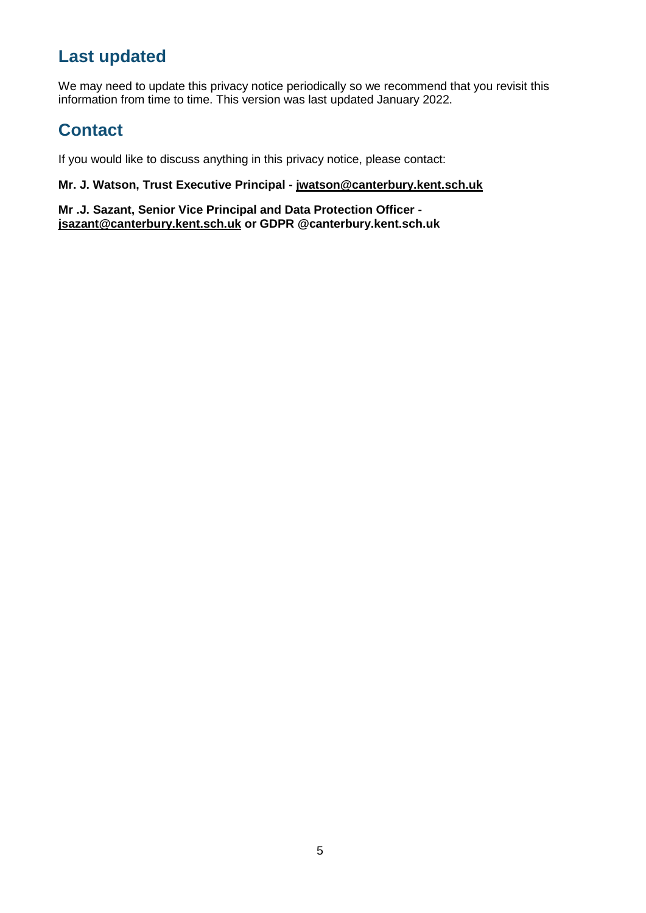## **Last updated**

We may need to update this privacy notice periodically so we recommend that you revisit this information from time to time. This version was last updated January 2022.

## **Contact**

If you would like to discuss anything in this privacy notice, please contact:

#### **Mr. J. Watson, Trust Executive Principal - [jwatson@canterbury.kent.sch.uk](mailto:jwatson@canterbury.kent.sch.uk)**

**Mr .J. Sazant, Senior Vice Principal and Data Protection Officer [jsazant@canterbury.kent.sch.uk](mailto:jsazant@canterbury.kent.sch.uk) or GDPR @canterbury.kent.sch.uk**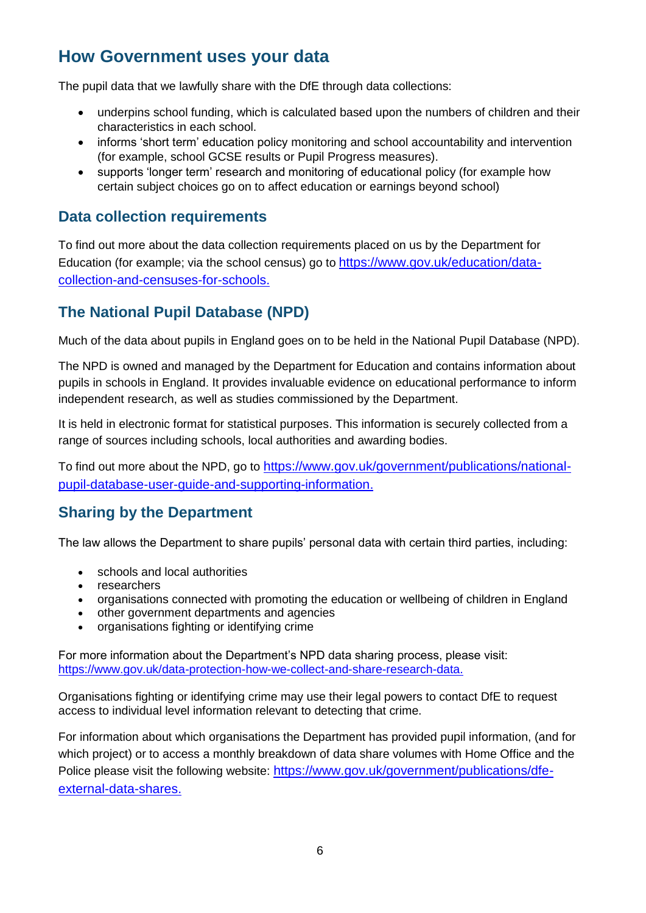## **How Government uses your data**

The pupil data that we lawfully share with the DfE through data collections:

- underpins school funding, which is calculated based upon the numbers of children and their characteristics in each school.
- informs 'short term' education policy monitoring and school accountability and intervention (for example, school GCSE results or Pupil Progress measures).
- supports 'longer term' research and monitoring of educational policy (for example how certain subject choices go on to affect education or earnings beyond school)

#### **Data collection requirements**

To find out more about the data collection requirements placed on us by the Department for Education (for example; via the school census) go to [https://www.gov.uk/education/data](https://www.gov.uk/education/data-collection-and-censuses-for-schools)[collection-and-censuses-for-schools.](https://www.gov.uk/education/data-collection-and-censuses-for-schools)

#### **The National Pupil Database (NPD)**

Much of the data about pupils in England goes on to be held in the National Pupil Database (NPD).

The NPD is owned and managed by the Department for Education and contains information about pupils in schools in England. It provides invaluable evidence on educational performance to inform independent research, as well as studies commissioned by the Department.

It is held in electronic format for statistical purposes. This information is securely collected from a range of sources including schools, local authorities and awarding bodies.

To find out more about the NPD, go to [https://www.gov.uk/government/publications/national](https://www.gov.uk/government/publications/national-pupil-database-user-guide-and-supporting-information)[pupil-database-user-guide-and-supporting-information.](https://www.gov.uk/government/publications/national-pupil-database-user-guide-and-supporting-information)

#### **Sharing by the Department**

The law allows the Department to share pupils' personal data with certain third parties, including:

- schools and local authorities
- researchers
- organisations connected with promoting the education or wellbeing of children in England
- other government departments and agencies
- organisations fighting or identifying crime

For more information about the Department's NPD data sharing process, please visit: [https://www.gov.uk/data-protection-how-we-collect-and-share-research-data.](https://www.gov.uk/data-protection-how-we-collect-and-share-research-data)

Organisations fighting or identifying crime may use their legal powers to contact DfE to request access to individual level information relevant to detecting that crime.

For information about which organisations the Department has provided pupil information, (and for which project) or to access a monthly breakdown of data share volumes with Home Office and the Police please visit the following website: [https://www.gov.uk/government/publications/dfe](https://www.gov.uk/government/publications/dfe-external-data-shares)[external-data-shares.](https://www.gov.uk/government/publications/dfe-external-data-shares)